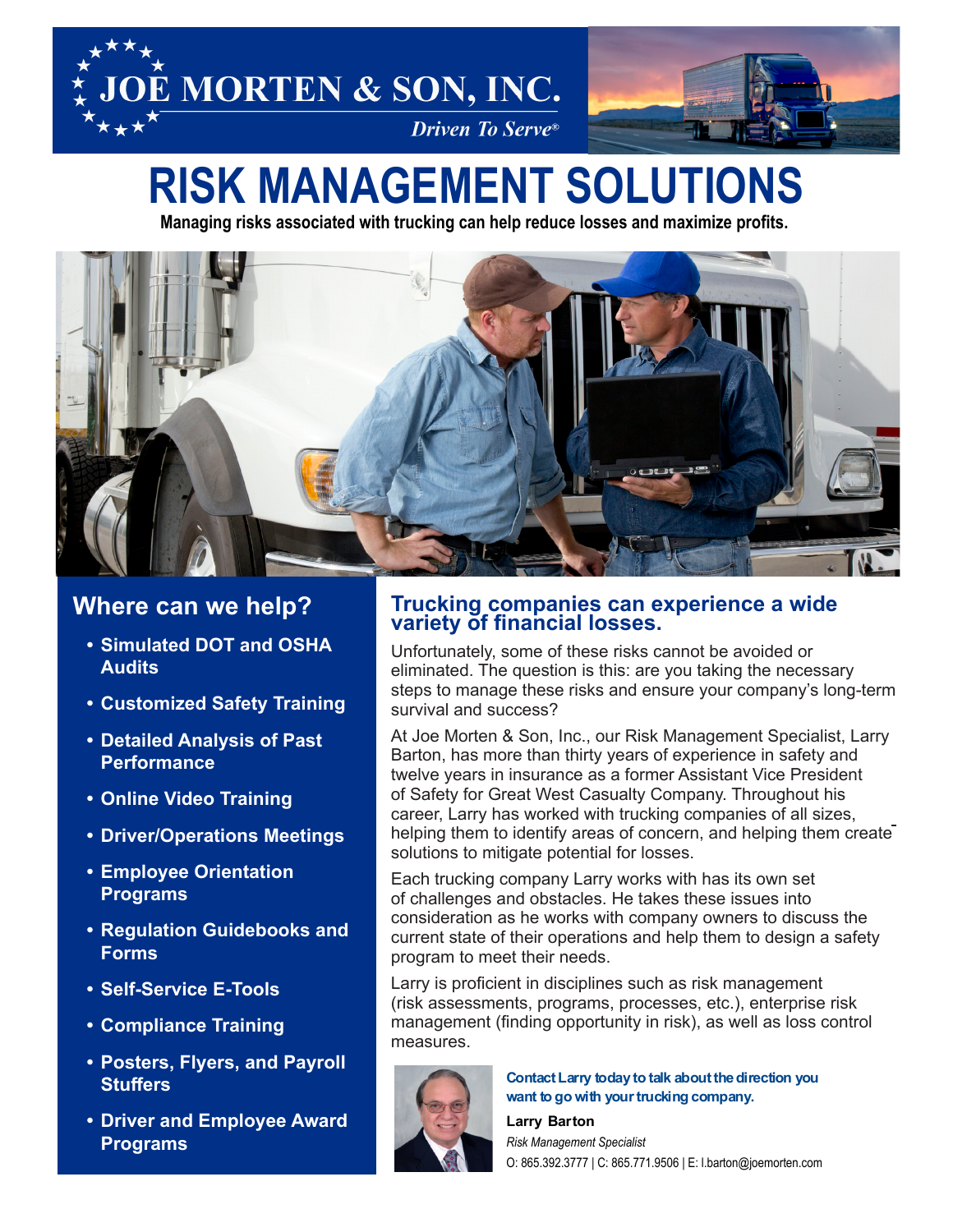



# **RISK MANAGEMENT SOLUTIONS**

**Managing risks associated with trucking can help reduce losses and maximize profits.**



### **Where can we help?**

- **• Simulated DOT and OSHA Audits**
- **• Customized Safety Training**
- **• Detailed Analysis of Past Performance**
- **• Online Video Training**
- **• Driver/Operations Meetings**
- **• Employee Orientation Programs**
- **• Regulation Guidebooks and Forms**
- **• Self-Service E-Tools**
- **• Compliance Training**
- **• Posters, Flyers, and Payroll Stuffers**
- **• Driver and Employee Award Programs**

#### **Trucking companies can experience a wide variety of financial losses.**

Unfortunately, some of these risks cannot be avoided or eliminated. The question is this: are you taking the necessary steps to manage these risks and ensure your company's long-term survival and success?

At Joe Morten & Son, Inc., our Risk Management Specialist, Larry Barton, has more than thirty years of experience in safety and twelve years in insurance as a former Assistant Vice President of Safety for Great West Casualty Company. Throughout his career, Larry has worked with trucking companies of all sizes, helping them to identify areas of concern, and helping them create solutions to mitigate potential for losses.

Each trucking company Larry works with has its own set of challenges and obstacles. He takes these issues into consideration as he works with company owners to discuss the current state of their operations and help them to design a safety program to meet their needs.

Larry is proficient in disciplines such as risk management (risk assessments, programs, processes, etc.), enterprise risk management (finding opportunity in risk), as well as loss control measures.



#### **Contact Larry today to talk about the direction you**  want to go with your trucking company.

**Larry Barton** *Risk Management Specialist* O: 865.392.3777 | C: 865.771.9506 | E: l.barton@joemorten.com